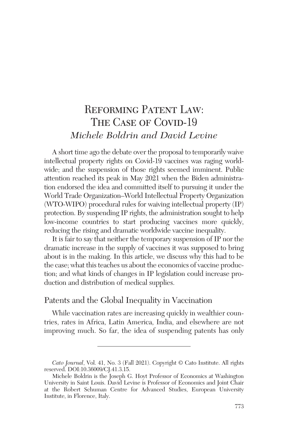# REFORMING PATENT LAW: THE CASE OF COVID-19 *Michele Boldrin and David Levine*

A short time ago the debate over the proposal to temporarily waive intellectual property rights on Covid-19 vaccines was raging worldwide; and the suspension of those rights seemed imminent. Public attention reached its peak in May 2021 when the Biden administration endorsed the idea and committed itself to pursuing it under the World Trade Organization–World Intellectual Property Organization (WTO-WIPO) procedural rules for waiving intellectual property (IP) protection. By suspending IP rights, the administration sought to help low-income countries to start producing vaccines more quickly, reducing the rising and dramatic worldwide vaccine inequality.

It is fair to say that neither the temporary suspension of IP nor the dramatic increase in the supply of vaccines it was supposed to bring about is in the making. In this article, we discuss why this had to be the case; what this teaches us about the economics of vaccine production; and what kinds of changes in IP legislation could increase production and distribution of medical supplies.

# Patents and the Global Inequality in Vaccination

While vaccination rates are increasing quickly in wealthier countries, rates in Africa, Latin America, India, and elsewhere are not improving much. So far, the idea of suspending patents has only

*Cato Journal*, Vol. 41, No. 3 (Fall 2021). Copyright © Cato Institute. All rights reserved. DOI:10.36009/CJ.41.3.15.

Michele Boldrin is the Joseph G. Hoyt Professor of Economics at Washington University in Saint Louis. David Levine is Professor of Economics and Joint Chair at the Robert Schuman Centre for Advanced Studies, European University Institute, in Florence, Italy.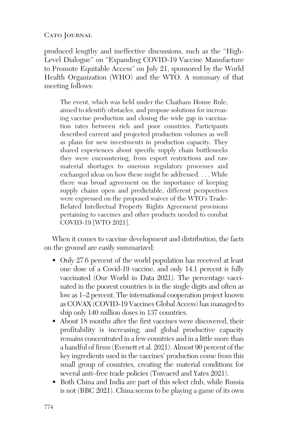produced lengthy and ineffective discussions, such as the "High-Level Dialogue" on "Expanding COVID-19 Vaccine Manufacture to Promote Equitable Access" on July 21, sponsored by the World Health Organization (WHO) and the WTO. A summary of that meeting follows:

The event, which was held under the Chatham House Rule, aimed to identify obstacles, and propose solutions for increasing vaccine production and closing the wide gap in vaccination rates between rich and poor countries. Participants described current and projected production volumes as well as plans for new investments in production capacity. They shared experiences about specific supply chain bottlenecks they were encountering, from export restrictions and raw material shortages to onerous regulatory processes and exchanged ideas on how these might be addressed. . . . While there was broad agreement on the importance of keeping supply chains open and predictable, different perspectives were expressed on the proposed waiver of the WTO's Trade-Related Intellectual Property Rights Agreement provisions pertaining to vaccines and other products needed to combat COVID-19 [WTO 2021].

When it comes to vaccine development and distribution, the facts on the ground are easily summarized:

- Only 27.6 percent of the world population has received at least one dose of a Covid-19 vaccine, and only 14.1 percent is fully vaccinated (Our World in Data 2021). The percentage vaccinated in the poorest countries is in the single digits and often as low as 1–2 percent. The international cooperation project known as COVAX (COVID-19 Vaccines Global Access) has managed to ship only 140 million doses in 137 countries.
- About 18 months after the first vaccines were discovered, their profitability is increasing; and global productive capacity remains concentrated in a few countries and in a little more than a handful of firms(Evenett et al. 2021). Almost 90 percent of the key ingredients used in the vaccines' production come from this small group of countries, creating the material conditions for several anti–free trade policies (Toxvaerd and Yates 2021).
- Both China and India are part of this select club, while Russia is not (BBC 2021). China seems to be playing a game of its own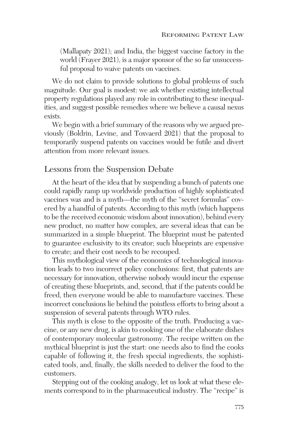(Mallapaty 2021); and India, the biggest vaccine factory in the world (Frayer 2021), is a major sponsor of the so far unsuccessful proposal to waive patents on vaccines.

We do not claim to provide solutions to global problems of such magnitude. Our goal is modest: we ask whether existing intellectual property regulations played any role in contributing to these inequalities, and suggest possible remedies where we believe a causal nexus exists.

We begin with a brief summary of the reasons why we argued previously (Boldrin, Levine, and Toxvaerd 2021) that the proposal to temporarily suspend patents on vaccines would be futile and divert attention from more relevant issues.

## Lessons from the Suspension Debate

At the heart of the idea that by suspending a bunch of patents one could rapidly ramp up worldwide production of highly sophisticated vaccines was and is a myth—the myth of the "secret formulas" covered by a handful of patents. According to this myth (which happens to be the received economic wisdom about innovation), behind every new product, no matter how complex, are several ideas that can be summarized in a simple blueprint. The blueprint must be patented to guarantee exclusivity to its creator; such blueprints are expensive to create; and their cost needs to be recouped.

This mythological view of the economics of technological innovation leads to two incorrect policy conclusions: first, that patents are necessary for innovation, otherwise nobody would incur the expense of creating these blueprints, and, second, that if the patents could be freed, then everyone would be able to manufacture vaccines. These incorrect conclusions lie behind the pointless efforts to bring about a suspension of several patents through WTO rules.

This myth is close to the opposite of the truth. Producing a vaccine, or any new drug, is akin to cooking one of the elaborate dishes of contemporary molecular gastronomy. The recipe written on the mythical blueprint is just the start: one needs also to find the cooks capable of following it, the fresh special ingredients, the sophisticated tools, and, finally, the skills needed to deliver the food to the customers.

Stepping out of the cooking analogy, let us look at what these elements correspond to in the pharmaceutical industry. The "recipe" is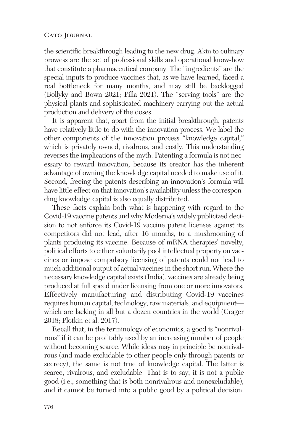the scientific breakthrough leading to the new drug. Akin to culinary prowess are the set of professional skills and operational know-how that constitute a pharmaceutical company. The "ingredients" are the special inputs to produce vaccines that, as we have learned, faced a real bottleneck for many months, and may still be backlogged (Bollyky and Bown 2021; Pilla 2021). The "serving tools" are the physical plants and sophisticated machinery carrying out the actual production and delivery of the doses.

It is apparent that, apart from the initial breakthrough, patents have relatively little to do with the innovation process. We label the other components of the innovation process "knowledge capital,*"* which is privately owned, rivalrous, and costly. This understanding reverses the implications of the myth. Patenting a formula is not necessary to reward innovation, because its creator has the inherent advantage of owning the knowledge capital needed to make use of it. Second, freeing the patents describing an innovation's formula will have little effect on that innovation's availability unless the corresponding knowledge capital is also equally distributed.

These facts explain both what is happening with regard to the Covid-19 vaccine patents and why Moderna's widely publicized decision to not enforce its Covid-19 vaccine patent licenses against its competitors did not lead, after 16 months, to a mushrooming of plants producing its vaccine. Because of mRNA therapies' novelty, political efforts to either voluntarily pool intellectual property on vaccines or impose compulsory licensing of patents could not lead to much additional output of actual vaccines in the short run. Where the necessary knowledge capital exists (India), vaccines are already being produced at full speed under licensing from one or more innovators. Effectively manufacturing and distributing Covid-19 vaccines requires human capital, technology, raw materials, and equipment which are lacking in all but a dozen countries in the world (Crager 2018; Plotkin et al. 2017).

Recall that, in the terminology of economics, a good is "nonrivalrous" if it can be profitably used by an increasing number of people without becoming scarce. While ideas may in principle be nonrivalrous (and made excludable to other people only through patents or secrecy), the same is not true of knowledge capital. The latter is scarce, rivalrous, and excludable. That is to say, it is not a public good (i.e., something that is both nonrivalrous and nonexcludable), and it cannot be turned into a public good by a political decision.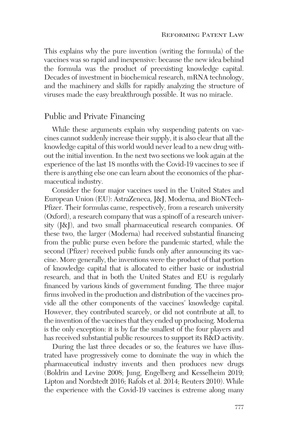This explains why the pure invention (writing the formula) of the vaccines was so rapid and inexpensive: because the new idea behind the formula was the product of preexisting knowledge capital. Decades of investment in biochemical research, mRNA technology, and the machinery and skills for rapidly analyzing the structure of viruses made the easy breakthrough possible. It was no miracle.

## Public and Private Financing

While these arguments explain why suspending patents on vaccines cannot suddenly increase their supply, it is also clear that all the knowledge capital of this world would never lead to a new drug without the initial invention. In the next two sections we look again at the experience of the last 18 months with the Covid-19 vaccines to see if there is anything else one can learn about the economics of the pharmaceutical industry.

Consider the four major vaccines used in the United States and European Union (EU): AstraZeneca, J&J, Moderna, and BioNTech-Pfizer. Their formulas came, respectively, from a research university (Oxford), a research company that was a spinoff of a research university (J&J), and two small pharmaceutical research companies. Of these two, the larger (Moderna) had received substantial financing from the public purse even before the pandemic started, while the second (Pfizer) received public funds only after announcing its vaccine. More generally, the inventions were the product of that portion of knowledge capital that is allocated to either basic or industrial research, and that in both the United States and EU is regularly financed by various kinds of government funding. The three major firms involved in the production and distribution of the vaccines provide all the other components of the vaccines' knowledge capital. However, they contributed scarcely, or did not contribute at all, to the invention of the vaccines that they ended up producing. Moderna is the only exception: it is by far the smallest of the four players and has received substantial public resources to support its R&D activity.

During the last three decades or so, the features we have illustrated have progressively come to dominate the way in which the pharmaceutical industry invents and then produces new drugs (Boldrin and Levine 2008; Jung, Engelberg and Kesselheim 2019; Lipton and Nordstedt 2016; Rafols et al. 2014; Reuters 2010). While the experience with the Covid-19 vaccines is extreme along many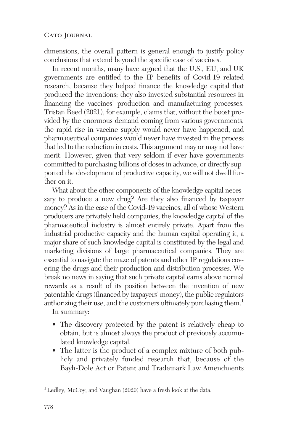dimensions, the overall pattern is general enough to justify policy conclusions that extend beyond the specific case of vaccines.

In recent months, many have argued that the U.S., EU, and UK governments are entitled to the IP benefits of Covid-19 related research, because they helped finance the knowledge capital that produced the inventions; they also invested substantial resources in financing the vaccines' production and manufacturing processes. Tristan Reed (2021), for example, claims that, without the boost provided by the enormous demand coming from various governments, the rapid rise in vaccine supply would never have happened, and pharmaceutical companies would never have invested in the process that led to the reduction in costs. This argument may or may not have merit. However, given that very seldom if ever have governments committed to purchasing billions of doses in advance, or directly supported the development of productive capacity, we will not dwell further on it.

What about the other components of the knowledge capital necessary to produce a new drug? Are they also financed by taxpayer money? As in the case of the Covid-19 vaccines, all of whose Western producers are privately held companies, the knowledge capital of the pharmaceutical industry is almost entirely private. Apart from the industrial productive capacity and the human capital operating it, a major share of such knowledge capital is constituted by the legal and marketing divisions of large pharmaceutical companies. They are essential to navigate the maze of patents and other IP regulations covering the drugs and their production and distribution processes. We break no news in saying that such private capital earns above normal rewards as a result of its position between the invention of new patentable drugs(financed by taxpayers' money), the public regulators authorizing their use, and the customers ultimately purchasing them.<sup>1</sup>

In summary:

- The discovery protected by the patent is relatively cheap to obtain, but is almost always the product of previously accumulated knowledge capital.
- The latter is the product of a complex mixture of both publicly and privately funded research that, because of the Bayh-Dole Act or Patent and Trademark Law Amendments

<sup>1</sup>Ledley, McCoy, and Vaughan (2020) have a fresh look at the data.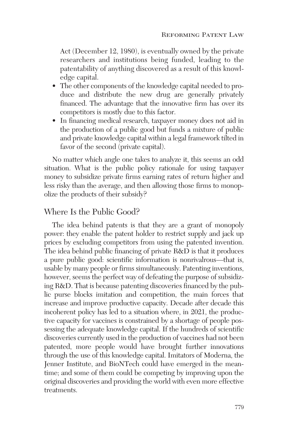Act (December 12, 1980), is eventually owned by the private researchers and institutions being funded, leading to the patentability of anything discovered as a result of this knowledge capital.

- The other components of the knowledge capital needed to produce and distribute the new drug are generally privately financed. The advantage that the innovative firm has over its competitors is mostly due to this factor.
- In financing medical research, taxpayer money does not aid in the production of a public good but funds a mixture of public and private knowledge capital within a legal framework tilted in favor of the second (private capital).

No matter which angle one takes to analyze it, this seems an odd situation. What is the public policy rationale for using taxpayer money to subsidize private firms earning rates of return higher and less risky than the average, and then allowing those firms to monopolize the products of their subsidy?

# Where Is the Public Good?

The idea behind patents is that they are a grant of monopoly power: they enable the patent holder to restrict supply and jack up prices by excluding competitors from using the patented invention. The idea behind public financing of private R&D is that it produces a pure public good: scientific information is nonrivalrous—that is, usable by many people or firms simultaneously. Patenting inventions, however, seems the perfect way of defeating the purpose of subsidizing R&D. That is because patenting discoveries financed by the public purse blocks imitation and competition, the main forces that increase and improve productive capacity. Decade after decade this incoherent policy has led to a situation where, in 2021, the productive capacity for vaccines is constrained by a shortage of people possessing the adequate knowledge capital. If the hundreds of scientific discoveries currently used in the production of vaccines had not been patented, more people would have brought further innovations through the use of this knowledge capital. Imitators of Moderna, the Jenner Institute, and BioNTech could have emerged in the meantime; and some of them could be competing by improving upon the original discoveries and providing the world with even more effective treatments.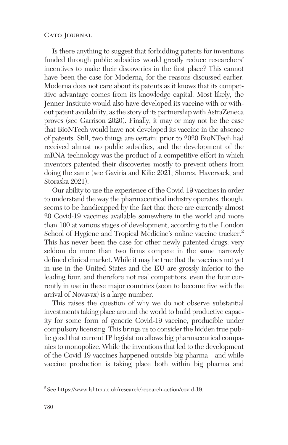Is there anything to suggest that forbidding patents for inventions funded through public subsidies would greatly reduce researchers' incentives to make their discoveries in the first place? This cannot have been the case for Moderna, for the reasons discussed earlier. Moderna does not care about its patents as it knows that its competitive advantage comes from its knowledge capital. Most likely, the Jenner Institute would also have developed its vaccine with or without patent availability, asthe story of its partnership with AstraZeneca proves (see Garrison 2020). Finally, it may or may not be the case that BioNTech would have not developed its vaccine in the absence of patents. Still, two things are certain: prior to 2020 BioNTech had received almost no public subsidies, and the development of the mRNA technology was the product of a competitive effort in which inventors patented their discoveries mostly to prevent others from doing the same (see Gaviria and Kilic 2021; Shores, Haversack, and Storaska 2021).

Our ability to use the experience of the Covid-19 vaccines in order to understand the way the pharmaceutical industry operates, though, seems to be handicapped by the fact that there are currently almost 20 Covid-19 vaccines available somewhere in the world and more than 100 at various stages of development, according to the London School of Hygiene and Tropical Medicine's online vaccine tracker.<sup>2</sup> This has never been the case for other newly patented drugs: very seldom do more than two firms compete in the same narrowly defined clinical market. While it may be true that the vaccines not yet in use in the United States and the EU are grossly inferior to the leading four, and therefore not real competitors, even the four currently in use in these major countries (soon to become five with the arrival of Novavax) is a large number.

This raises the question of why we do not observe substantial investments taking place around the world to build productive capacity for some form of generic Covid-19 vaccine, producible under compulsory licensing. This brings us to consider the hidden true public good that current IP legislation allows big pharmaceutical companies to monopolize. While the inventions that led to the development of the Covid-19 vaccines happened outside big pharma—and while vaccine production is taking place both within big pharma and

<sup>2</sup> See https://www.lshtm.ac.uk/research/research-action/covid-19.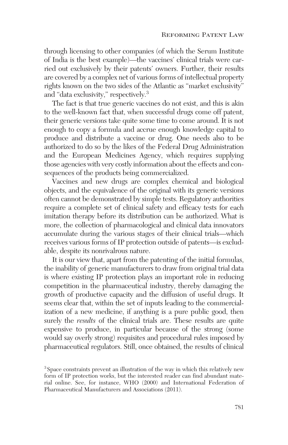through licensing to other companies (of which the Serum Institute of India is the best example)—the vaccines' clinical trials were carried out exclusively by their patents' owners. Further, their results are covered by a complex net of various forms of intellectual property rights known on the two sides of the Atlantic as "market exclusivity" and "data exclusivity," respectively.<sup>3</sup>

The fact is that true generic vaccines do not exist, and this is akin to the well-known fact that, when successful drugs come off patent, their generic versions take quite some time to come around. It is not enough to copy a formula and accrue enough knowledge capital to produce and distribute a vaccine or drug. One needs also to be authorized to do so by the likes of the Federal Drug Administration and the European Medicines Agency, which requires supplying those agencies with very costly information about the effects and consequences of the products being commercialized.

Vaccines and new drugs are complex chemical and biological objects, and the equivalence of the original with its generic versions often cannot be demonstrated by simple tests. Regulatory authorities require a complete set of clinical safety and efficacy tests for each imitation therapy before its distribution can be authorized. What is more, the collection of pharmacological and clinical data innovators accumulate during the various stages of their clinical trials—which receives various forms of IP protection outside of patents—is excludable, despite its nonrivalrous nature.

It is our view that, apart from the patenting of the initial formulas, the inability of generic manufacturers to draw from original trial data is where existing IP protection plays an important role in reducing competition in the pharmaceutical industry, thereby damaging the growth of productive capacity and the diffusion of useful drugs. It seems clear that, within the set of inputs leading to the commercialization of a new medicine, if anything is a pure public good, then surely the *results* of the clinical trials are. These results are quite expensive to produce, in particular because of the strong (some would say overly strong) requisites and procedural rules imposed by pharmaceutical regulators. Still, once obtained, the results of clinical

<sup>&</sup>lt;sup>3</sup> Space constraints prevent an illustration of the way in which this relatively new form of IP protection works, but the interested reader can find abundant material online. See, for instance, WHO (2000) and International Federation of Pharmaceutical Manufacturers and Associations (2011).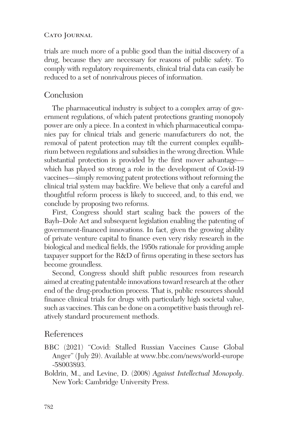trials are much more of a public good than the initial discovery of a drug, because they are necessary for reasons of public safety. To comply with regulatory requirements, clinical trial data can easily be reduced to a set of nonrivalrous pieces of information.

# Conclusion

The pharmaceutical industry is subject to a complex array of government regulations, of which patent protections granting monopoly power are only a piece. In a context in which pharmaceutical companies pay for clinical trials and generic manufacturers do not, the removal of patent protection may tilt the current complex equilibrium between regulations and subsidies in the wrong direction. While substantial protection is provided by the first mover advantage which has played so strong a role in the development of Covid-19 vaccines—simply removing patent protections without reforming the clinical trial system may backfire. We believe that only a careful and thoughtful reform process is likely to succeed, and, to this end, we conclude by proposing two reforms.

First, Congress should start scaling back the powers of the Bayh–Dole Act and subsequent legislation enabling the patenting of government-financed innovations. In fact, given the growing ability of private venture capital to finance even very risky research in the biological and medical fields, the 1950s rationale for providing ample taxpayer support for the R&D of firms operating in these sectors has become groundless.

Second, Congress should shift public resources from research aimed at creating patentable innovations toward research at the other end of the drug-production process. That is, public resources should finance clinical trials for drugs with particularly high societal value, such as vaccines. This can be done on a competitive basis through relatively standard procurement methods.

### References

- BBC (2021) "Covid: Stalled Russian Vaccines Cause Global Anger" (July 29). Available at www.bbc.com/news/world-europe -58003893.
- Boldrin, M., and Levine, D. (2008) *Against Intellectual Monopoly*. New York: Cambridge University Press.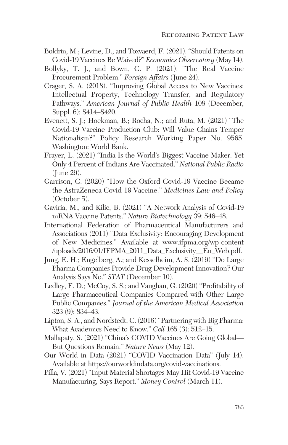- Boldrin, M.; Levine, D.; and Toxvaerd, F. (2021). "Should Patents on Covid-19 Vaccines Be Waived?" *Economics Observatory* (May 14).
- Bollyky, T. J., and Bown, C. P. (2021). "The Real Vaccine Procurement Problem." *Foreign Affairs* (June 24).
- Crager, S. A. (2018). "Improving Global Access to New Vaccines: Intellectual Property, Technology Transfer, and Regulatory Pathways." *American Journal of Public Health* 108 (December, Suppl. 6): S414–S420.
- Evenett, S. J.; Hoekman, B.; Rocha, N.; and Ruta, M. (2021) "The Covid-19 Vaccine Production Club: Will Value Chains Temper Nationalism?" Policy Research Working Paper No. 9565. Washington: World Bank.
- Frayer, L. (2021) "India Is the World's Biggest Vaccine Maker. Yet Only 4 Percent of Indians Are Vaccinated." *National Public Radio* (June 29).
- Garrison, C. (2020) "How the Oxford Covid-19 Vaccine Became the AstraZeneca Covid-19 Vaccine." *Medicines Law and Policy* (October 5).
- Gaviria, M., and Kilic, B. (2021) "A Network Analysis of Covid-19 mRNA Vaccine Patents." *Nature Biotechnology* 39: 546–48.
- International Federation of Pharmaceutical Manufacturers and Associations (2011) "Data Exclusivity: Encouraging Development of New Medicines." Available at www.ifpma.org/wp-content /uploads/2016/01/IFPMA\_2011\_Data\_Exclusivity\_\_En\_Web.pdf.
- Jung, E. H.; Engelberg, A.; and Kesselheim, A. S. (2019) "Do Large Pharma Companies Provide Drug Development Innovation? Our Analysis Says No." *STAT* (December 10).
- Ledley, F. D.; McCoy, S. S.; and Vaughan, G. (2020) "Profitability of Large Pharmaceutical Companies Compared with Other Large Public Companies." *Journal of the American Medical Association* 323 (9): 834–43.
- Lipton, S. A., and Nordstedt, C. (2016)"Partnering with Big Pharma: What Academics Need to Know." *Cell* 165 (3): 512–15.
- Mallapaty, S. (2021) "China's COVID Vaccines Are Going Global— But Questions Remain." *Nature News* (May 12).
- Our World in Data (2021) "COVID Vaccination Data" (July 14). Available at https://ourworldindata.org/covid-vaccinations.
- Pilla, V. (2021) "Input Material Shortages May Hit Covid-19 Vaccine Manufacturing, Says Report." *Money Control* (March 11).